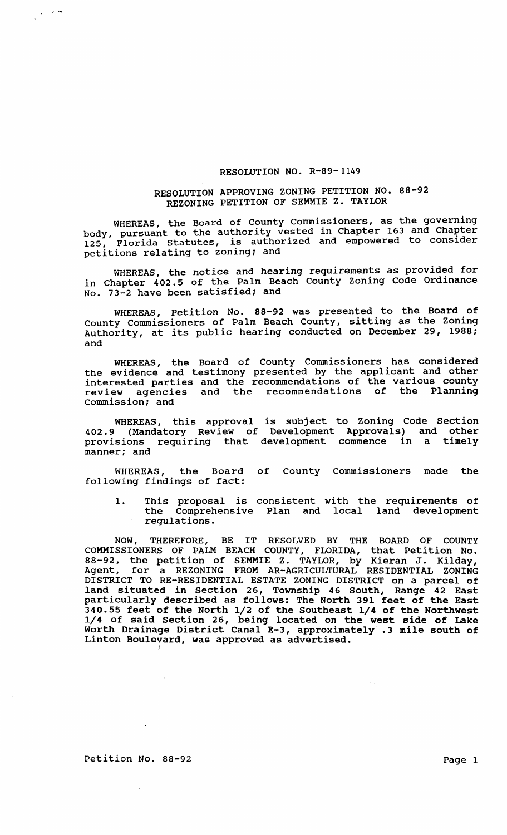## RESOLUTION NO. R-89-1149

## RESOLUTION APPROVING ZONING PETITION NO. 88-92 REZONING PETITION OF SEMMIE Z. TAYLOR

WHEREAS, the Board of County Commissioners, as the governing body, pursuant to the authority vested in Chapter 163 and Chapter body, pursuant to the authority vessed in endpose to make moving petitions relating to zoning; and

WHEREAS, the notice and hearing requirements as provided for in Chapter 402.5 of the Palm Beach County zoning Code Ordinance No. 73-2 have been satisfied; and

WHEREAS, Petition No. 88-92 was presented to the Board of County Commissioners of Palm Beach County, sitting as the Zoning Authority, at its public hearing conducted on December 29, 1988; and

WHEREAS, the Board of County Commissioners has considered the evidence and testimony presented by the applicant and other interested parties and the recommendations of the various county review agencies and the recommendations of the Planning commission; and

WHEREAS, this approval is subject to Zoning Code Section 402.9 (Mandatory Review of Development Approvals) and other provisions requiring that development commence in a timely manner; and

WHEREAS, the Board of County Commissioners made the following findings of fact:

1. This proposal is consistent with the requirements of the Comprehensive Plan and local land development regulations.

NOW, THEREFORE, BE IT RESOLVED BY THE BOARD OF COUNTY COMMISSIONERS OF PALM BEACH COUNTY, FLORIDA, that Petition No. S8-92, the petition of SEMMIE Z. TAYLOR, by Kieran J. Kilday,<br>Agent, for a REZONING FROM AR-AGRICULTURAL RESIDENTIAL ZONING DISTRICT TO RE-RESIDENTIAL ESTATE ZONING DISTRICT on a parcel of land situated in section 26, Township 46 South, Range 42 East particularly described as follows: The North 391 feet of the East 340.55 feet of the North 1/2 of the Southeast 1/4 of the Northwest 1/4 of said section 26, being located on the west side of Lake Worth Drainage District Canal E-3, approximately .3 mile south of Linton Boulevard, was approved as advertised. I

Petition No. 88-92 Page 1

 $\mathcal{A}_\bullet$ 

 $\frac{1}{2}$  f  $\frac{1}{2}$